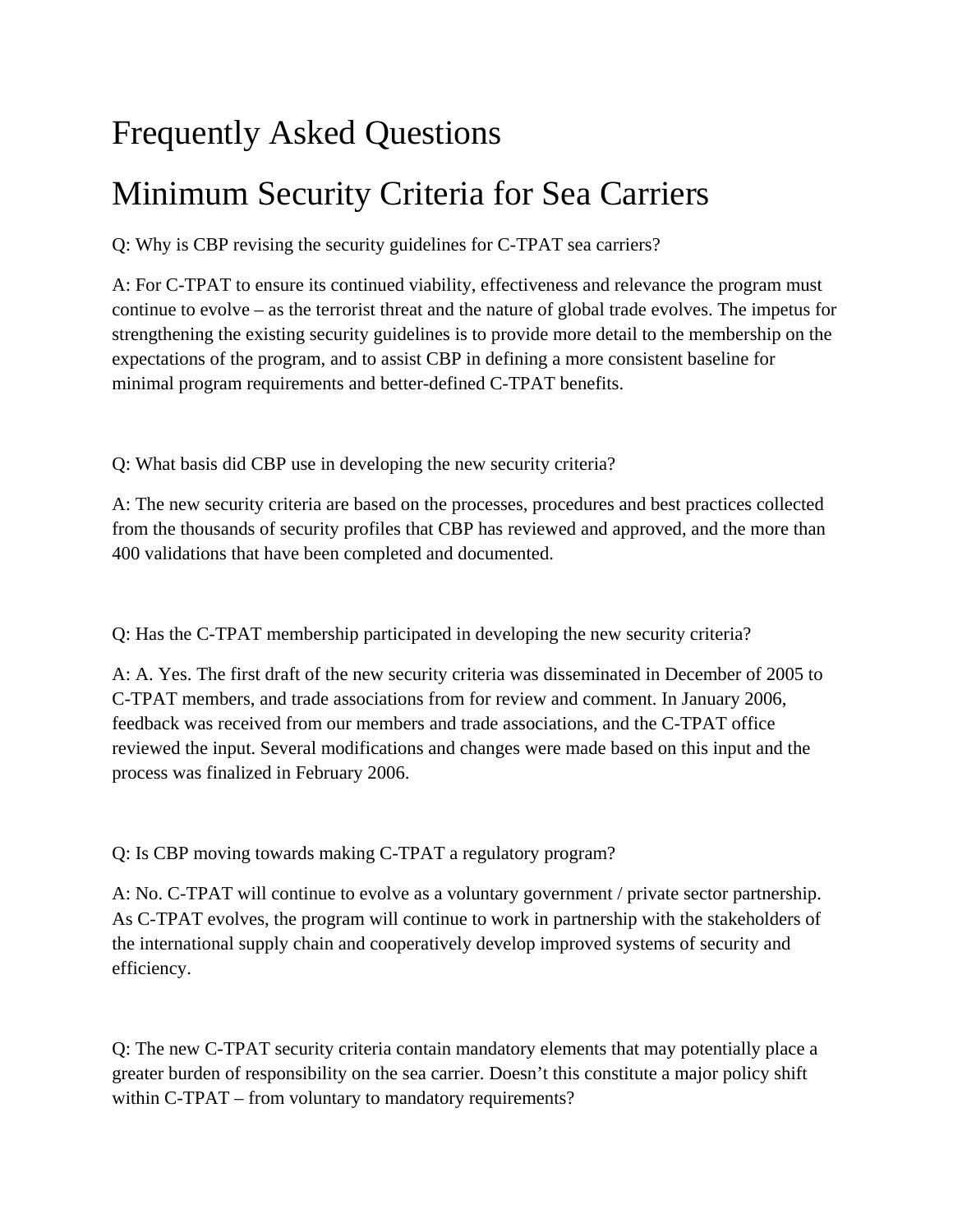## Frequently Asked Questions

## Minimum Security Criteria for Sea Carriers

Q: Why is CBP revising the security guidelines for C-TPAT sea carriers?

A: For C-TPAT to ensure its continued viability, effectiveness and relevance the program must continue to evolve – as the terrorist threat and the nature of global trade evolves. The impetus for strengthening the existing security guidelines is to provide more detail to the membership on the expectations of the program, and to assist CBP in defining a more consistent baseline for minimal program requirements and better-defined C-TPAT benefits.

Q: What basis did CBP use in developing the new security criteria?

A: The new security criteria are based on the processes, procedures and best practices collected from the thousands of security profiles that CBP has reviewed and approved, and the more than 400 validations that have been completed and documented.

Q: Has the C-TPAT membership participated in developing the new security criteria?

A: A. Yes. The first draft of the new security criteria was disseminated in December of 2005 to C-TPAT members, and trade associations from for review and comment. In January 2006, feedback was received from our members and trade associations, and the C-TPAT office reviewed the input. Several modifications and changes were made based on this input and the process was finalized in February 2006.

Q: Is CBP moving towards making C-TPAT a regulatory program?

A: No. C-TPAT will continue to evolve as a voluntary government / private sector partnership. As C-TPAT evolves, the program will continue to work in partnership with the stakeholders of the international supply chain and cooperatively develop improved systems of security and efficiency.

Q: The new C-TPAT security criteria contain mandatory elements that may potentially place a greater burden of responsibility on the sea carrier. Doesn't this constitute a major policy shift within C-TPAT – from voluntary to mandatory requirements?